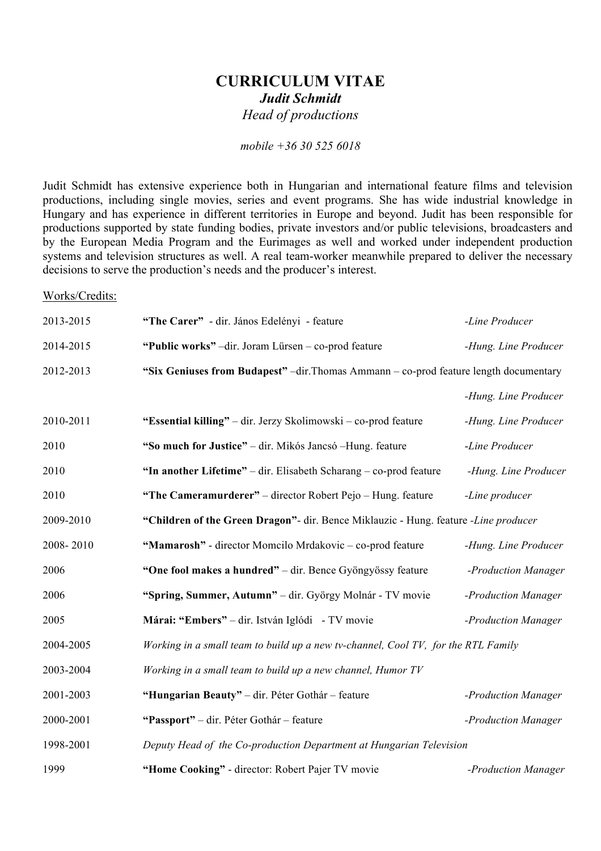## **CURRICULUM VITAE** *Judit Schmidt Head of productions*

*mobile +36 30 525 6018*

Judit Schmidt has extensive experience both in Hungarian and international feature films and television productions, including single movies, series and event programs. She has wide industrial knowledge in Hungary and has experience in different territories in Europe and beyond. Judit has been responsible for productions supported by state funding bodies, private investors and/or public televisions, broadcasters and by the European Media Program and the Eurimages as well and worked under independent production systems and television structures as well. A real team-worker meanwhile prepared to deliver the necessary decisions to serve the production's needs and the producer's interest.

## Works/Credits:

| 2013-2015 | "The Carer" - dir. János Edelényi - feature                                           | -Line Producer       |  |
|-----------|---------------------------------------------------------------------------------------|----------------------|--|
| 2014-2015 | "Public works" -dir. Joram Lürsen - co-prod feature                                   | -Hung. Line Producer |  |
| 2012-2013 | "Six Geniuses from Budapest" -dir. Thomas Ammann - co-prod feature length documentary |                      |  |
|           |                                                                                       | -Hung. Line Producer |  |
| 2010-2011 | "Essential killing" – dir. Jerzy Skolimowski – co-prod feature                        | -Hung. Line Producer |  |
| 2010      | "So much for Justice" – dir. Mikós Jancsó – Hung. feature                             | -Line Producer       |  |
| 2010      | "In another Lifetime" – dir. Elisabeth Scharang – co-prod feature                     | -Hung. Line Producer |  |
| 2010      | "The Cameramurderer" - director Robert Pejo - Hung. feature                           | -Line producer       |  |
| 2009-2010 | "Children of the Green Dragon"- dir. Bence Miklauzic - Hung. feature -Line producer   |                      |  |
| 2008-2010 | "Mamarosh" - director Momcilo Mrdakovic - co-prod feature                             | -Hung. Line Producer |  |
| 2006      | "One fool makes a hundred" - dir. Bence Gyöngyössy feature                            | -Production Manager  |  |
| 2006      | "Spring, Summer, Autumn" - dir. György Molnár - TV movie                              | -Production Manager  |  |
| 2005      | Márai: "Embers" - dir. István Iglódi - TV movie                                       | -Production Manager  |  |
| 2004-2005 | Working in a small team to build up a new tv-channel, Cool TV, for the RTL Family     |                      |  |
| 2003-2004 | Working in a small team to build up a new channel, Humor TV                           |                      |  |
| 2001-2003 | "Hungarian Beauty" - dir. Péter Gothár - feature                                      | -Production Manager  |  |
| 2000-2001 | "Passport" - dir. Péter Gothár - feature                                              | -Production Manager  |  |
| 1998-2001 | Deputy Head of the Co-production Department at Hungarian Television                   |                      |  |
| 1999      | "Home Cooking" - director: Robert Pajer TV movie                                      | -Production Manager  |  |